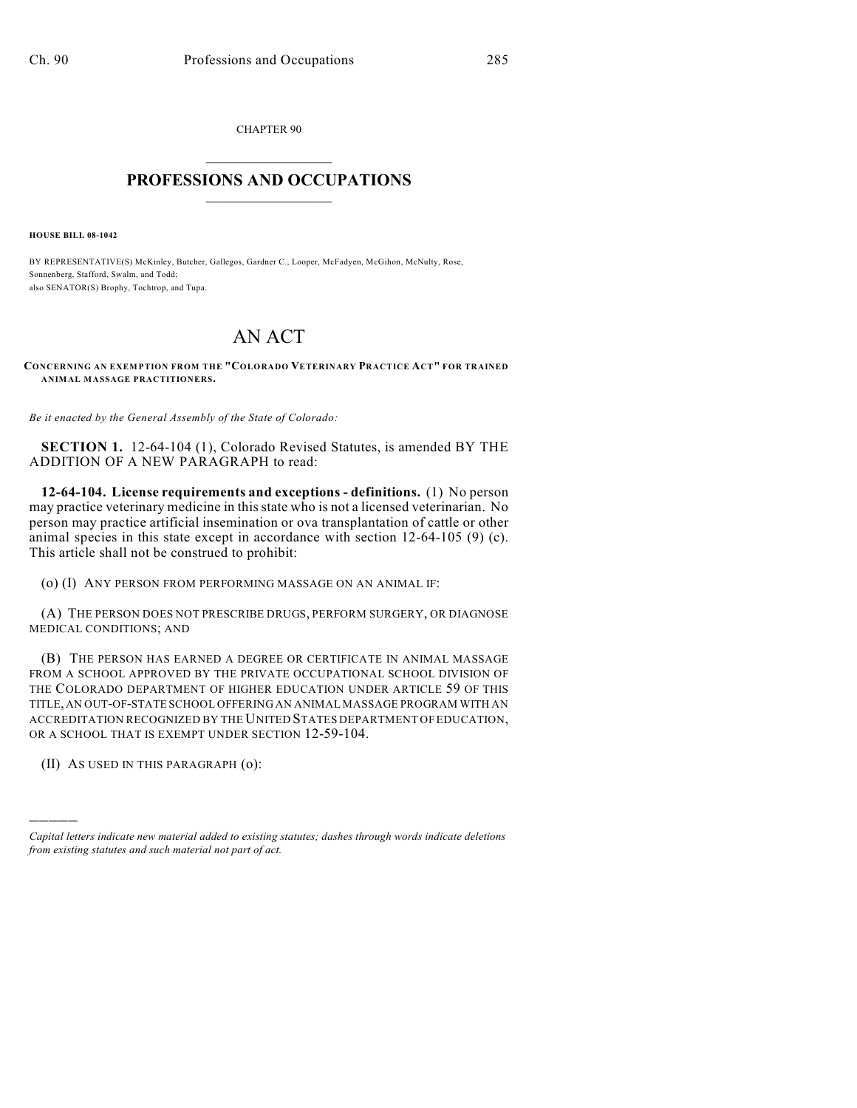CHAPTER 90  $\mathcal{L}_\text{max}$  . The set of the set of the set of the set of the set of the set of the set of the set of the set of the set of the set of the set of the set of the set of the set of the set of the set of the set of the set

## **PROFESSIONS AND OCCUPATIONS**  $\frac{1}{2}$  ,  $\frac{1}{2}$  ,  $\frac{1}{2}$  ,  $\frac{1}{2}$  ,  $\frac{1}{2}$  ,  $\frac{1}{2}$

**HOUSE BILL 08-1042**

BY REPRESENTATIVE(S) McKinley, Butcher, Gallegos, Gardner C., Looper, McFadyen, McGihon, McNulty, Rose, Sonnenberg, Stafford, Swalm, and Todd; also SENATOR(S) Brophy, Tochtrop, and Tupa.

## AN ACT

**CONCERNING AN EXEMPTION FROM THE "COLORADO VETERINARY PRACTICE ACT" FOR TRAINED ANIMAL MASSAGE PRACTITIONERS.**

*Be it enacted by the General Assembly of the State of Colorado:*

**SECTION 1.** 12-64-104 (1), Colorado Revised Statutes, is amended BY THE ADDITION OF A NEW PARAGRAPH to read:

**12-64-104. License requirements and exceptions - definitions.** (1) No person may practice veterinary medicine in this state who is not a licensed veterinarian. No person may practice artificial insemination or ova transplantation of cattle or other animal species in this state except in accordance with section 12-64-105 (9) (c). This article shall not be construed to prohibit:

(o) (I) ANY PERSON FROM PERFORMING MASSAGE ON AN ANIMAL IF:

(A) THE PERSON DOES NOT PRESCRIBE DRUGS, PERFORM SURGERY, OR DIAGNOSE MEDICAL CONDITIONS; AND

(B) THE PERSON HAS EARNED A DEGREE OR CERTIFICATE IN ANIMAL MASSAGE FROM A SCHOOL APPROVED BY THE PRIVATE OCCUPATIONAL SCHOOL DIVISION OF THE COLORADO DEPARTMENT OF HIGHER EDUCATION UNDER ARTICLE 59 OF THIS TITLE, AN OUT-OF-STATE SCHOOL OFFERING AN ANIMAL MASSAGE PROGRAM WITH AN ACCREDITATION RECOGNIZED BY THE UNITED STATES DEPARTMENT OF EDUCATION, OR A SCHOOL THAT IS EXEMPT UNDER SECTION 12-59-104.

(II) AS USED IN THIS PARAGRAPH (o):

)))))

*Capital letters indicate new material added to existing statutes; dashes through words indicate deletions from existing statutes and such material not part of act.*